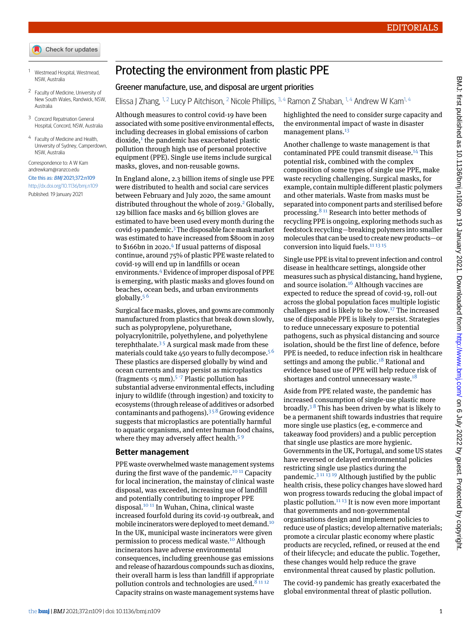- Check for updates
- <span id="page-0-1"></span><span id="page-0-0"></span><sup>1</sup> Westmead Hospital, Westmead, NSW, Australia
- <span id="page-0-2"></span><sup>2</sup> Faculty of Medicine, University of New South Wales, Randwick, NSW, Australia
- <span id="page-0-3"></span><sup>3</sup> Concord Repatriation General Hospital, Concord, NSW, Australia
- <sup>4</sup> Faculty of Medicine and Health, University of Sydney, Camperdown, NSW, Australia

```
Correspondence to: A W Kam
andrewkam@ranzco.edu
Cite this as: BMJ 2021;372:n109
http://dx.doi.org/10.1136/bmj.n109
Published: 19 January 2021
```
## Protecting the environment from plastic PPE

## Greener manufacture, use, and disposal are urgent priorities

Elissa J Zhang, <sup>[1,](#page-0-0) [2](#page-0-1)</sup> Lucy P Aitchison, <sup>2</sup> Nicole Phillips, <sup>[3,](#page-0-2) [4](#page-0-3)</sup> Ramon Z Shaban, <sup>[1](#page-0-0), 4</sup> Andrew W Kam<sup>1, 4</sup>

Although measures to control covid-19 have been associated with some positive environmental effects, including decreases in global emissions of carbon dioxide,<sup>[1](#page-1-0)</sup> the pandemic has exacerbated plastic pollution through high use of personal protective equipment (PPE). Single use items include surgical masks, gloves, and non-reusable gowns.

In England alone, 2.3 billion items of single use PPE were distributed to health and social care services between February and July 2020, the same amount distributed throughout the whole of [2](#page-1-1)019.<sup>2</sup> Globally, 129 billion face masks and 65 billion gloves are estimated to have been used every month during the covid-19 pandemic.<sup>[3](#page-1-2)</sup> The disposable face mask market was estimated to have increased from \$800m in 2019 to \$166bn in 2020.<sup>[4](#page-1-3)</sup> If usual patterns of disposal continue, around 75% of plastic PPE waste related to covid-19 will end up in landfills or ocean environments.[4](#page-1-3) Evidence of improper disposal of PPE is emerging, with plastic masks and gloves found on beaches, ocean beds, and urban environments globally. $5<sup>6</sup>$  $5<sup>6</sup>$ 

Surgical face masks, gloves, and gowns are commonly manufactured from plastics that break down slowly, such as polypropylene, polyurethane, polyacrylonitrile, polyethylene, and polyethylene terephthalate. $35$  $35$  A surgical mask made from these materials could take 4[5](#page-1-4)0 years to fully decompose.<sup>56</sup> These plastics are dispersed globally by wind and ocean currents and may persist as microplastics (fragments  $\leq$ [5](#page-1-4) mm).<sup>5 [-](#page-1-5)[7](#page-1-6)</sup> Plastic pollution has substantial adverse environmental effects, including injury to wildlife (through ingestion) and toxicity to ecosystems (through release of additives or adsorbed contaminants and pathogens).  $358$  $358$  Growing evidence suggests that microplastics are potentially harmful to aquatic organisms, and enter human food chains, where they may adversely affect health.<sup>[5](#page-1-4)9</sup>

## **Better management**

PPE waste overwhelmed waste management systems during the first wave of the pandemic.<sup>[10](#page-1-9) [11](#page-1-10)</sup> Capacity for local incineration, the mainstay of clinical waste disposal, was exceeded, increasing use of landfill and potentially contributing to improper PPE disposal.[10](#page-1-9) [11](#page-1-10) In Wuhan, China, clinical waste increased fourfold during its covid-19 outbreak, and mobile incinerators were deployed to meet demand.[10](#page-1-9) In the UK, municipal waste incinerators were given permission to process medical waste.[10](#page-1-9) Although incinerators have adverse environmental consequences, including greenhouse gas emissions and release of hazardous compounds such as dioxins, their overall harm is less than landfill if appropriate pollution controls and technologies are used.<sup>[8](#page-1-7) [11](#page-1-10) [12](#page-1-11)</sup> Capacity strains on waste management systems have highlighted the need to consider surge capacity and the environmental impact of waste in disaster management plans.<sup>[13](#page-1-12)</sup>

Another challenge to waste management is that contaminated PPE could transmit disease.[14](#page-1-13) This potential risk, combined with the complex composition of some types of single use PPE, make waste recycling challenging. Surgical masks, for example, contain multiple different plastic polymers and other materials. Waste from masks must be separated into component parts and sterilised before processing. $811$  $811$  Research into better methods of recycling PPE is ongoing, exploring methods such as feedstock recycling—breaking polymers into smaller molecules that can be used to create new products—or conversion into liquid fuels.<sup>[11](#page-1-10) [13](#page-1-12) [15](#page-1-14)</sup>

Single use PPE is vital to prevent infection and control disease in healthcare settings, alongside other measures such as physical distancing, hand hygiene, and source isolation.<sup>[16](#page-1-15)</sup> Although vaccines are expected to reduce the spread of covid-19, roll-out across the global population faces multiple logistic challenges and is likely to be slow.[17](#page-1-16) The increased use of disposable PPE is likely to persist. Strategies to reduce unnecessary exposure to potential pathogens, such as physical distancing and source isolation, should be the first line of defence, before PPE is needed, to reduce infection risk in healthcare settings and among the public.<sup>[18](#page-1-17)</sup> Rational and evidence based use of PPE will help reduce risk of shortages and control unnecessary waste.<sup>[18](#page-1-17)</sup>

Aside from PPE related waste, the pandemic has increased consumption of single-use plastic more broadly.<sup>[3](#page-1-2)8</sup> This has been driven by what is likely to be a permanent shift towards industries that require more single use plastics (eg, e-commerce and takeaway food providers) and a public perception that single use plastics are more hygienic. Governments in the UK, Portugal, and some US states have reversed or delayed environmental policies restricting single use plastics during the pandemic.<sup>[3](#page-1-2) [11](#page-1-10) [13](#page-1-12) [19](#page-1-18)</sup> Although justified by the public health crisis, these policy changes have slowed hard won progress towards reducing the global impact of plastic pollution.<sup>[11](#page-1-10) [13](#page-1-12)</sup> It is now even more important that governments and non-governmental organisations design and implement policies to reduce use of plastics; develop alternative materials; promote a circular plastic economy where plastic products are recycled, refined, or reused at the end of their lifecycle; and educate the public. Together, these changes would help reduce the grave environmental threat caused by plastic pollution.

The covid-19 pandemic has greatly exacerbated the global environmental threat of plastic pollution.